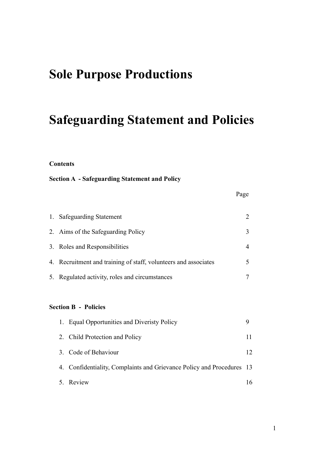# **Sole Purpose Productions**

# **Safeguarding Statement and Policies**

#### **Contents**

### **Section A - Safeguarding Statement and Policy**

| 1. Safeguarding Statement                                       |  |
|-----------------------------------------------------------------|--|
| 2. Aims of the Safeguarding Policy                              |  |
| 3. Roles and Responsibilities                                   |  |
| 4. Recruitment and training of staff, volunteers and associates |  |
| 5. Regulated activity, roles and circumstances                  |  |

#### **Section B - Policies**

| 1. Equal Opportunities and Diveristy Policy                           |    |
|-----------------------------------------------------------------------|----|
| 2. Child Protection and Policy                                        | 11 |
| 3. Code of Behaviour                                                  | 12 |
| 4. Confidentiality, Complaints and Grievance Policy and Procedures 13 |    |
| 5. Review                                                             | 16 |

Page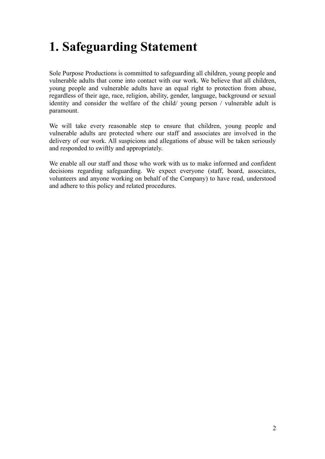# **1. Safeguarding Statement**

Sole Purpose Productions is committed to safeguarding all children, young people and vulnerable adults that come into contact with our work. We believe that all children, young people and vulnerable adults have an equal right to protection from abuse, regardless of their age, race, religion, ability, gender, language, background or sexual identity and consider the welfare of the child/ young person / vulnerable adult is paramount.

We will take every reasonable step to ensure that children, young people and vulnerable adults are protected where our staff and associates are involved in the delivery of our work. All suspicions and allegations of abuse will be taken seriously and responded to swiftly and appropriately.

We enable all our staff and those who work with us to make informed and confident decisions regarding safeguarding. We expect everyone (staff, board, associates, volunteers and anyone working on behalf of the Company) to have read, understood and adhere to this policy and related procedures.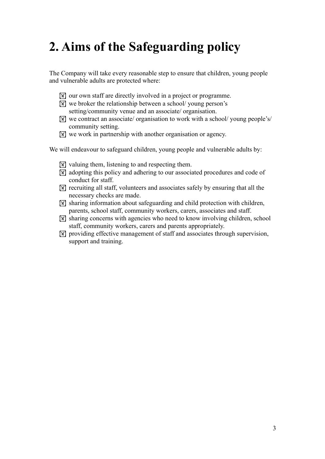# **2. Aims of the Safeguarding policy**

The Company will take every reasonable step to ensure that children, young people and vulnerable adults are protected where:

- **If** our own staff are directly involved in a project or programme.
- $\mathbb{R}$  we broker the relationship between a school/ young person's
- setting/community venue and an associate/ organisation.
- $\mathbb{R}$  we contract an associate/ organisation to work with a school/ young people's/ community setting.
- $\mathbb{R}$  we work in partnership with another organisation or agency.

We will endeavour to safeguard children, young people and vulnerable adults by:

- $\mathbb{W}$  valuing them, listening to and respecting them.
- ! adopting this policy and adhering to our associated procedures and code of conduct for staff.
- $\mathbb{R}$  recruiting all staff, volunteers and associates safely by ensuring that all the necessary checks are made.
- ! sharing information about safeguarding and child protection with children, parents, school staff, community workers, carers, associates and staff.
- $\mathbb{\overline{N}}$  sharing concerns with agencies who need to know involving children, school staff, community workers, carers and parents appropriately.
- **If is all providing effective management of staff and associates through supervision,** support and training.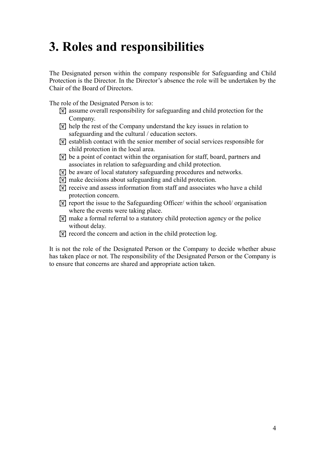# **3. Roles and responsibilities**

The Designated person within the company responsible for Safeguarding and Child Protection is the Director. In the Director's absence the role will be undertaken by the Chair of the Board of Directors.

The role of the Designated Person is to:

- $\mathbb{F}$  assume overall responsibility for safeguarding and child protection for the Company.
- $\mathbb{R}$  help the rest of the Company understand the key issues in relation to safeguarding and the cultural / education sectors.
- $[\overline{\mathbb{X}}]$  establish contact with the senior member of social services responsible for child protection in the local area.
- $\mathbb{X}$  be a point of contact within the organisation for staff, board, partners and associates in relation to safeguarding and child protection.
- **IX** be aware of local statutory safeguarding procedures and networks.
- ! make decisions about safeguarding and child protection.
- $\boxed{\mathbb{X}}$  receive and assess information from staff and associates who have a child protection concern.
- $\mathbb{K}$  report the issue to the Safeguarding Officer/ within the school/ organisation where the events were taking place.
- $\sqrt{\mathbb{M}}$  make a formal referral to a statutory child protection agency or the police without delay.
- $\mathbb{K}$  record the concern and action in the child protection log.

It is not the role of the Designated Person or the Company to decide whether abuse has taken place or not. The responsibility of the Designated Person or the Company is to ensure that concerns are shared and appropriate action taken.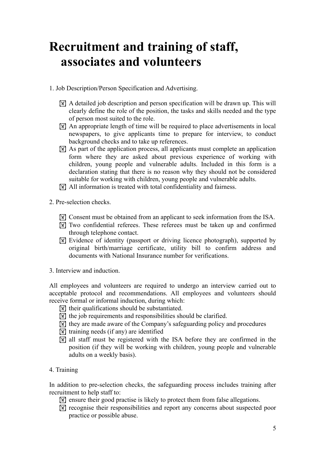# **Recruitment and training of staff, associates and volunteers**

- 1. Job Description/Person Specification and Advertising.
	- ! A detailed job description and person specification will be drawn up. This will clearly define the role of the position, the tasks and skills needed and the type of person most suited to the role.
	- ! An appropriate length of time will be required to place advertisements in local newspapers, to give applicants time to prepare for interview, to conduct background checks and to take up references.
	- ! As part of the application process, all applicants must complete an application form where they are asked about previous experience of working with children, young people and vulnerable adults. Included in this form is a declaration stating that there is no reason why they should not be considered suitable for working with children, young people and vulnerable adults.
	- ! All information is treated with total confidentiality and fairness.
- 2. Pre-selection checks.
	- **If** Consent must be obtained from an applicant to seek information from the ISA.
	- ! Two confidential referees. These referees must be taken up and confirmed through telephone contact.
	- ! Evidence of identity (passport or driving licence photograph), supported by original birth/marriage certificate, utility bill to confirm address and documents with National Insurance number for verifications.
- 3. Interview and induction.

All employees and volunteers are required to undergo an interview carried out to acceptable protocol and recommendations. All employees and volunteers should receive formal or informal induction, during which:

- $\mathbb{R}$  their qualifications should be substantiated.
- $\boxed{\mathbb{X}}$  the job requirements and responsibilities should be clarified.
- ! they are made aware of the Company's safeguarding policy and procedures
- $\mathbb{W}$  training needs (if any) are identified
- $\mathbb{R}$  all staff must be registered with the ISA before they are confirmed in the position (if they will be working with children, young people and vulnerable adults on a weekly basis).
- 4. Training

In addition to pre-selection checks, the safeguarding process includes training after recruitment to help staff to:

- **If** ensure their good practise is likely to protect them from false allegations.
- **If is a recognise their responsibilities and report any concerns about suspected poor** practice or possible abuse.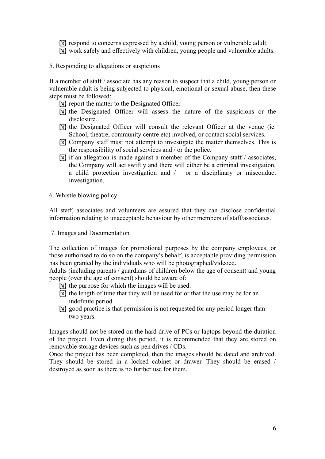**If respond to concerns expressed by a child, young person or vulnerable adult.** 

- ! work safely and effectively with children, young people and vulnerable adults.
- 5. Responding to allegations or suspicions

If a member of staff / associate has any reason to suspect that a child, young person or vulnerable adult is being subjected to physical, emotional or sexual abuse, then these steps must be followed:

- ! report the matter to the Designated Officer
- $\mathbb{\overline{M}}$  the Designated Officer will assess the nature of the suspicions or the disclosure.
- $\mathbb{\overline{M}}$  the Designated Officer will consult the relevant Officer at the venue (ie. School, theatre, community centre etc) involved, or contact social services.
- **If Company staff must not attempt to investigate the matter themselves. This is** the responsibility of social services and / or the police.
- $\boxed{\mathbb{N}}$  if an allegation is made against a member of the Company staff / associates, the Company will act swiftly and there will either be a criminal investigation, a child protection investigation and / or a disciplinary or misconduct investigation.
- 6. Whistle blowing policy

All staff, associates and volunteers are assured that they can disclose confidential information relating to unacceptable behaviour by other members of staff/associates.

7. Images and Documentation

The collection of images for promotional purposes by the company employees, or those authorised to do so on the company's behalf, is acceptable providing permission has been granted by the individuals who will be photographed/videoed.

Adults (including parents / guardians of children below the age of consent) and young people (over the age of consent) should be aware of:

- $\mathbb{R}$  the purpose for which the images will be used.
- $\mathbb{R}$  the length of time that they will be used for or that the use may be for an indefinite period.
- **If all good practice is that permission is not requested for any period longer than** two years.

Images should not be stored on the hard drive of PCs or laptops beyond the duration of the project. Even during this period, it is recommended that they are stored on removable storage devices such as pen drives / CDs.

Once the project has been completed, then the images should be dated and archived. They should be stored in a locked cabinet or drawer. They should be erased / destroyed as soon as there is no further use for them.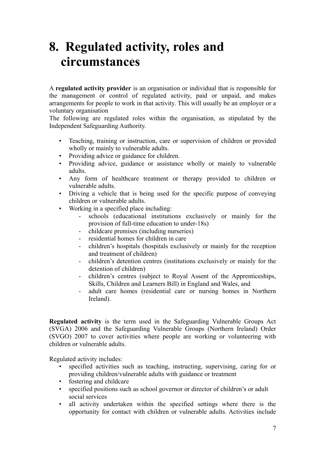# **8. Regulated activity, roles and circumstances**

A **regulated activity provider** is an organisation or individual that is responsible for the management or control of regulated activity, paid or unpaid, and makes arrangements for people to work in that activity. This will usually be an employer or a voluntary organisation

The following are regulated roles within the organisation, as stipulated by the Independent Safeguarding Authority.

- Teaching, training or instruction, care or supervision of children or provided wholly or mainly to vulnerable adults.
- Providing advice or guidance for children.
- Providing advice, guidance or assistance wholly or mainly to vulnerable adults.
- Any form of healthcare treatment or therapy provided to children or vulnerable adults.
- Driving a vehicle that is being used for the specific purpose of conveying children or vulnerable adults.
- Working in a specified place including:
	- schools (educational institutions exclusively or mainly for the provision of full-time education to under-18s)
	- childcare premises (including nurseries)
	- residential homes for children in care
	- children's hospitals (hospitals exclusively or mainly for the reception and treatment of children)
	- children's detention centres (institutions exclusively or mainly for the detention of children)
	- children's centres (subject to Royal Assent of the Apprenticeships, Skills, Children and Learners Bill) in England and Wales, and
	- adult care homes (residential care or nursing homes in Northern Ireland).

**Regulated activity** is the term used in the Safeguarding Vulnerable Groups Act (SVGA) 2006 and the Safeguarding Vulnerable Groups (Northern Ireland) Order (SVGO) 2007 to cover activities where people are working or volunteering with children or vulnerable adults.

Regulated activity includes:

- specified activities such as teaching, instructing, supervising, caring for or providing children/vulnerable adults with guidance or treatment
- fostering and childcare
- specified positions such as school governor or director of children's or adult social services
- all activity undertaken within the specified settings where there is the opportunity for contact with children or vulnerable adults. Activities include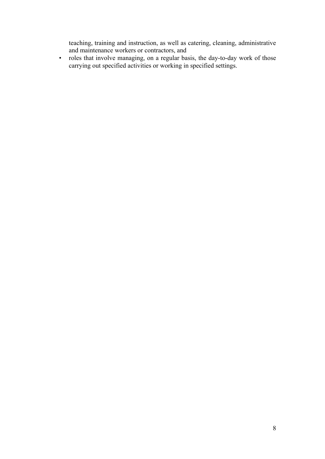teaching, training and instruction, as well as catering, cleaning, administrative and maintenance workers or contractors, and

• roles that involve managing, on a regular basis, the day-to-day work of those carrying out specified activities or working in specified settings.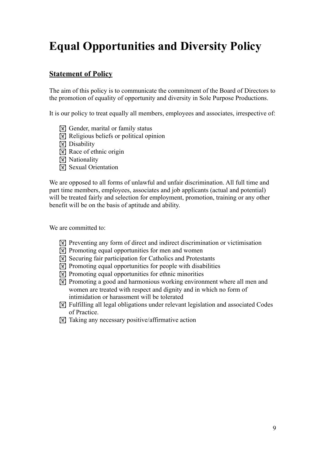# **Equal Opportunities and Diversity Policy**

### **Statement of Policy**

The aim of this policy is to communicate the commitment of the Board of Directors to the promotion of equality of opportunity and diversity in Sole Purpose Productions.

It is our policy to treat equally all members, employees and associates, irrespective of:

- $\mathbb{W}$  Gender, marital or family status
- $\mathbb{R}$  Religious beliefs or political opinion
- **N** Disability
- $\boxed{\mathbb{X}}$  Race of ethnic origin
- **M** Nationality
- **IN** Sexual Orientation

We are opposed to all forms of unlawful and unfair discrimination. All full time and part time members, employees, associates and job applicants (actual and potential) will be treated fairly and selection for employment, promotion, training or any other benefit will be on the basis of aptitude and ability.

We are committed to:

- ! Preventing any form of direct and indirect discrimination or victimisation
- $\mathbb{W}$  Promoting equal opportunities for men and women
- **IN Securing fair participation for Catholics and Protestants**
- $\boxed{\mathbb{N}}$  Promoting equal opportunities for people with disabilities
- $\mathbb{R}$  Promoting equal opportunities for ethnic minorities
- **If Promoting a good and harmonious working environment where all men and** women are treated with respect and dignity and in which no form of intimidation or harassment will be tolerated
- ! Fulfilling all legal obligations under relevant legislation and associated Codes of Practice.
- $\boxed{\mathbb{W}}$  Taking any necessary positive/affirmative action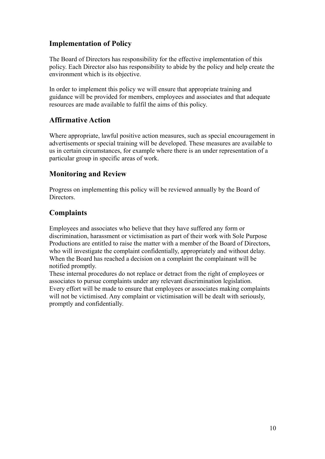### **Implementation of Policy**

The Board of Directors has responsibility for the effective implementation of this policy. Each Director also has responsibility to abide by the policy and help create the environment which is its objective.

In order to implement this policy we will ensure that appropriate training and guidance will be provided for members, employees and associates and that adequate resources are made available to fulfil the aims of this policy.

### **Affirmative Action**

Where appropriate, lawful positive action measures, such as special encouragement in advertisements or special training will be developed. These measures are available to us in certain circumstances, for example where there is an under representation of a particular group in specific areas of work.

### **Monitoring and Review**

Progress on implementing this policy will be reviewed annually by the Board of Directors.

### **Complaints**

Employees and associates who believe that they have suffered any form or discrimination, harassment or victimisation as part of their work with Sole Purpose Productions are entitled to raise the matter with a member of the Board of Directors, who will investigate the complaint confidentially, appropriately and without delay. When the Board has reached a decision on a complaint the complainant will be notified promptly.

These internal procedures do not replace or detract from the right of employees or associates to pursue complaints under any relevant discrimination legislation. Every effort will be made to ensure that employees or associates making complaints will not be victimised. Any complaint or victimisation will be dealt with seriously, promptly and confidentially.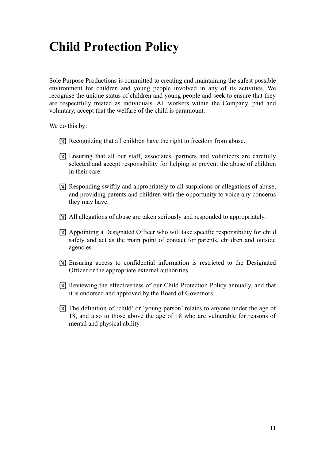# **Child Protection Policy**

Sole Purpose Productions is committed to creating and maintaining the safest possible environment for children and young people involved in any of its activities. We recognise the unique status of children and young people and seek to ensure that they are respectfully treated as individuals. All workers within the Company, paid and voluntary, accept that the welfare of the child is paramount.

We do this by:

- **IX** Recognizing that all children have the right to freedom from abuse.
- ! Ensuring that all our staff, associates, partners and volunteers are carefully selected and accept responsibility for helping to prevent the abuse of children in their care.
- **EX** Responding swiftly and appropriately to all suspicions or allegations of abuse, and providing parents and children with the opportunity to voice any concerns they may have.
- $\mathbb{R}$  All allegations of abuse are taken seriously and responded to appropriately.
- ! Appointing a Designated Officer who will take specific responsibility for child safety and act as the main point of contact for parents, children and outside agencies.
- ! Ensuring access to confidential information is restricted to the Designated Officer or the appropriate external authorities.
- ! Reviewing the effectiveness of our Child Protection Policy annually, and that it is endorsed and approved by the Board of Governors.
- ! The definition of 'child' or 'young person' relates to anyone under the age of 18, and also to those above the age of 18 who are vulnerable for reasons of mental and physical ability.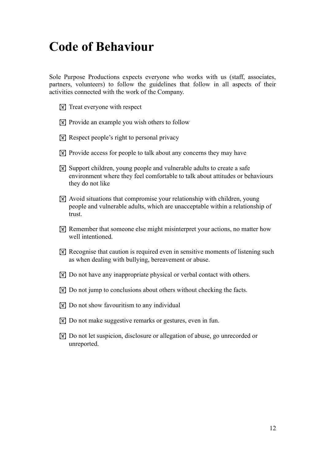# **Code of Behaviour**

Sole Purpose Productions expects everyone who works with us (staff, associates, partners, volunteers) to follow the guidelines that follow in all aspects of their activities connected with the work of the Company.

- $\boxed{\mathbb{X}}$  Treat everyone with respect
- ! Provide an example you wish others to follow
- $\boxed{\mathbb{X}}$  Respect people's right to personal privacy
- $\mathbb{R}$  Provide access for people to talk about any concerns they may have
- **If** Support children, young people and vulnerable adults to create a safe environment where they feel comfortable to talk about attitudes or behaviours they do not like
- ! Avoid situations that compromise your relationship with children, young people and vulnerable adults, which are unacceptable within a relationship of trust.
- **If Remember that someone else might misinterpret your actions, no matter how** well intentioned.
- **Recognise that caution is required even in sensitive moments of listening such** as when dealing with bullying, bereavement or abuse.
- **N** Do not have any inappropriate physical or verbal contact with others.
- **If Do not jump to conclusions about others without checking the facts.**
- $\boxed{\mathbb{X}}$  Do not show favouritism to any individual
- **If Do not make suggestive remarks or gestures, even in fun.**
- **If** Do not let suspicion, disclosure or allegation of abuse, go unrecorded or unreported.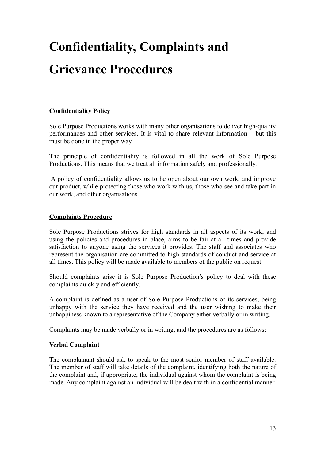# **Confidentiality, Complaints and Grievance Procedures**

### **Confidentiality Policy**

Sole Purpose Productions works with many other organisations to deliver high-quality performances and other services. It is vital to share relevant information – but this must be done in the proper way.

The principle of confidentiality is followed in all the work of Sole Purpose Productions. This means that we treat all information safely and professionally.

A policy of confidentiality allows us to be open about our own work, and improve our product, while protecting those who work with us, those who see and take part in our work, and other organisations.

### **Complaints Procedure**

Sole Purpose Productions strives for high standards in all aspects of its work, and using the policies and procedures in place, aims to be fair at all times and provide satisfaction to anyone using the services it provides. The staff and associates who represent the organisation are committed to high standards of conduct and service at all times. This policy will be made available to members of the public on request.

Should complaints arise it is Sole Purpose Production's policy to deal with these complaints quickly and efficiently.

A complaint is defined as a user of Sole Purpose Productions or its services, being unhappy with the service they have received and the user wishing to make their unhappiness known to a representative of the Company either verbally or in writing.

Complaints may be made verbally or in writing, and the procedures are as follows:-

#### **Verbal Complaint**

The complainant should ask to speak to the most senior member of staff available. The member of staff will take details of the complaint, identifying both the nature of the complaint and, if appropriate, the individual against whom the complaint is being made. Any complaint against an individual will be dealt with in a confidential manner.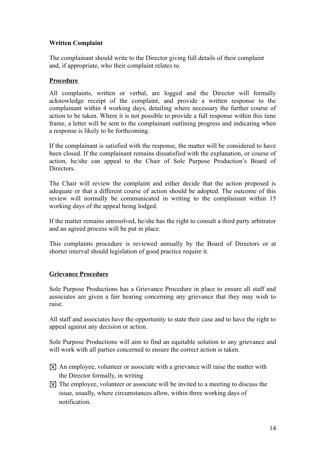### **Written Complaint**

The complainant should write to the Director giving full details of their complaint and, if appropriate, who their complaint relates to.

#### **Procedure**

All complaints, written or verbal, are logged and the Director will formally acknowledge receipt of the complaint, and provide a written response to the complainant within 4 working days, detailing where necessary the further course of action to be taken. Where it is not possible to provide a full response within this time frame, a letter will be sent to the complainant outlining progress and indicating when a response is likely to be forthcoming.

If the complainant is satisfied with the response, the matter will be considered to have been closed. If the complainant remains dissatisfied with the explanation, or course of action, he/she can appeal to the Chair of Sole Purpose Production's Board of Directors.

The Chair will review the complaint and either decide that the action proposed is adequate or that a different course of action should be adopted. The outcome of this review will normally be communicated in writing to the complainant within 15 working days of the appeal being lodged.

If the matter remains unresolved, he/she has the right to consult a third party arbitrator and an agreed process will be put in place.

This complaints procedure is reviewed annually by the Board of Directors or at shorter interval should legislation of good practice require it.

### **Grievance Procedure**

Sole Purpose Productions has a Grievance Procedure in place to ensure all staff and associates are given a fair hearing concerning any grievance that they may wish to raise.

All staff and associates have the opportunity to state their case and to have the right to appeal against any decision or action.

Sole Purpose Productions will aim to find an equitable solution to any grievance and will work with all parties concerned to ensure the correct action is taken.

- $\boxed{\mathbb{X}}$  An employee, volunteer or associate with a grievance will raise the matter with the Director formally, in writing
- $\mathbb{X}$  The employee, volunteer or associate will be invited to a meeting to discuss the issue, usually, where circumstances allow, within three working days of notification.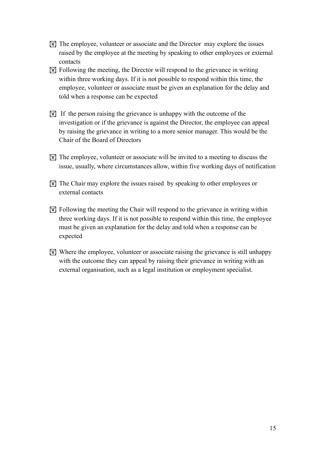- $\mathbb{F}$  The employee, volunteer or associate and the Director may explore the issues raised by the employee at the meeting by speaking to other employees or external contacts
- $\mathbb{R}$  Following the meeting, the Director will respond to the grievance in writing within three working days. If it is not possible to respond within this time, the employee, volunteer or associate must be given an explanation for the delay and told when a response can be expected
- $[\overline{\mathbb{M}}]$  If the person raising the grievance is unhappy with the outcome of the investigation or if the grievance is against the Director, the employee can appeal by raising the grievance in writing to a more senior manager. This would be the Chair of the Board of Directors
- ! The employee, volunteer or associate will be invited to a meeting to discuss the issue, usually, where circumstances allow, within five working days of notification
- ! The Chair may explore the issues raised by speaking to other employees or external contacts
- ! Following the meeting the Chair will respond to the grievance in writing within three working days. If it is not possible to respond within this time, the employee must be given an explanation for the delay and told when a response can be expected
- ! Where the employee, volunteer or associate raising the grievance is still unhappy with the outcome they can appeal by raising their grievance in writing with an external organisation, such as a legal institution or employment specialist.